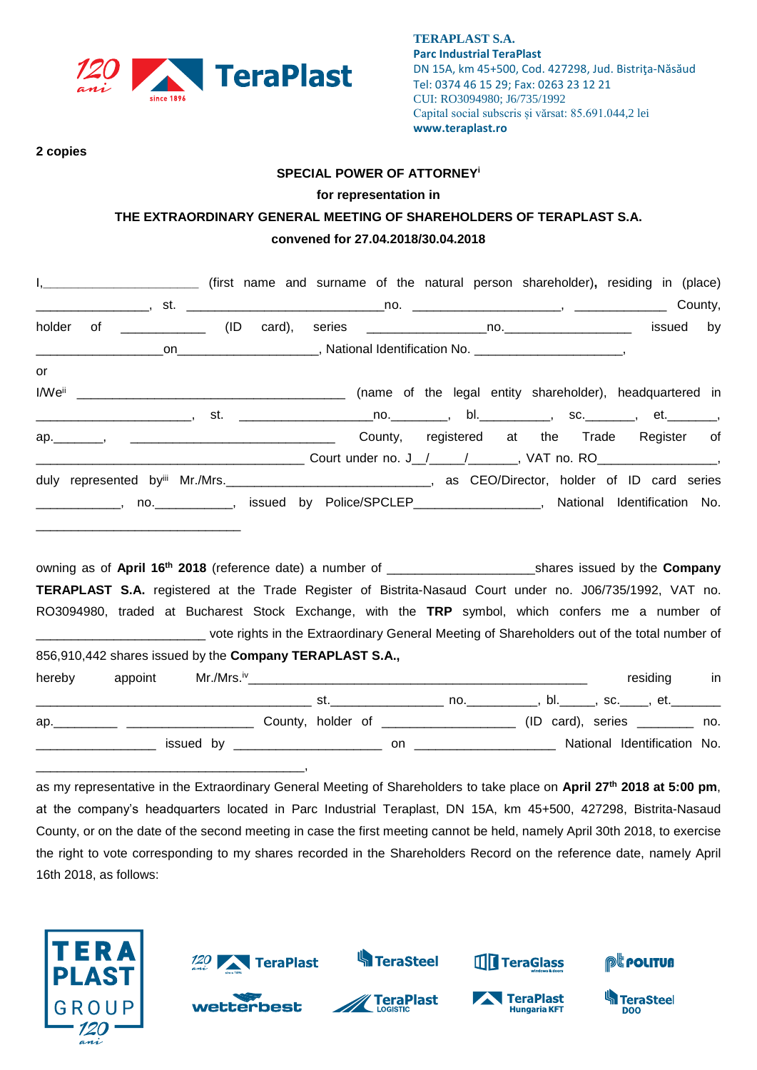

\_\_\_\_\_\_\_\_\_\_\_\_\_\_\_\_\_\_\_\_\_\_\_\_\_\_\_\_\_\_\_\_\_\_\_\_\_\_,

**TERAPLAST S.A. Parc Industrial TeraPlast** DN 15A, km 45+500, Cod. 427298, Jud. Bistriţa-Năsăud Tel: 0374 46 15 29; Fax: 0263 23 12 21 CUI: RO3094980; J6/735/1992 Capital social subscris și vărsat: 85.691.044,2 lei **www.teraplast.ro**

**2 copies**

#### **SPECIAL POWER OF ATTORNEY<sup>i</sup>**

#### **for representation in**

## **THE EXTRAORDINARY GENERAL MEETING OF SHAREHOLDERS OF TERAPLAST S.A. convened for 27.04.2018/30.04.2018**

|        | I, ____________________________ (first name and surname of the natural person shareholder), residing in (place)                                                      |  |                                                                                     |  |  |             |    |
|--------|----------------------------------------------------------------------------------------------------------------------------------------------------------------------|--|-------------------------------------------------------------------------------------|--|--|-------------|----|
|        |                                                                                                                                                                      |  |                                                                                     |  |  |             |    |
| holder |                                                                                                                                                                      |  |                                                                                     |  |  | issued      | by |
|        |                                                                                                                                                                      |  | _on_________________________, National Identification No. ________________________, |  |  |             |    |
| or     |                                                                                                                                                                      |  |                                                                                     |  |  |             |    |
|        |                                                                                                                                                                      |  |                                                                                     |  |  |             |    |
|        | _________________________, st.  ______________________no.___________, bl._____________, sc._________, et._________,                                                  |  |                                                                                     |  |  |             |    |
|        | ap. Manuscript Aregister of County, registered at the Trade Register of                                                                                              |  |                                                                                     |  |  |             |    |
|        |                                                                                                                                                                      |  |                                                                                     |  |  |             |    |
|        | duly represented by <sup>iii</sup> Mr./Mrs. <b>CEO/Director, holder of ID card series</b> duly represented by Mr./Mrs. <b>CEO/Director, holder of ID card series</b> |  |                                                                                     |  |  |             |    |
|        | _____________, no. ___________, issued by Police/SPCLEP_________________, National Identification No.                                                                |  |                                                                                     |  |  |             |    |
|        |                                                                                                                                                                      |  |                                                                                     |  |  |             |    |
|        |                                                                                                                                                                      |  |                                                                                     |  |  |             |    |
|        |                                                                                                                                                                      |  |                                                                                     |  |  |             |    |
|        | TERAPLAST S.A. registered at the Trade Register of Bistrita-Nasaud Court under no. J06/735/1992, VAT no.                                                             |  |                                                                                     |  |  |             |    |
|        | RO3094980, traded at Bucharest Stock Exchange, with the TRP symbol, which confers me a number of                                                                     |  |                                                                                     |  |  |             |    |
|        | _____________________________ vote rights in the Extraordinary General Meeting of Shareholders out of the total number of                                            |  |                                                                                     |  |  |             |    |
|        | 856,910,442 shares issued by the Company TERAPLAST S.A.,                                                                                                             |  |                                                                                     |  |  |             |    |
| hereby |                                                                                                                                                                      |  |                                                                                     |  |  | residing in |    |
|        |                                                                                                                                                                      |  |                                                                                     |  |  |             |    |
|        |                                                                                                                                                                      |  |                                                                                     |  |  |             |    |
|        | ap. 10. All County, holder of 2000 2000 (ID card), series 2000 2000.                                                                                                 |  |                                                                                     |  |  |             |    |
|        | LACK CONSULTER DESIGN OF A CONSUMING A DESIGN OF A CONSUMING A SALE OF A CONSUMING A CONSUMING A CONSUMING A CON                                                     |  |                                                                                     |  |  |             |    |

as my representative in the Extraordinary General Meeting of Shareholders to take place on **April 27 th 2018 at 5:00 pm**, at the company's headquarters located in Parc Industrial Teraplast, DN 15A, km 45+500, 427298, Bistrita-Nasaud County, or on the date of the second meeting in case the first meeting cannot be held, namely April 30th 2018, to exercise the right to vote corresponding to my shares recorded in the Shareholders Record on the reference date, namely April 16th 2018, as follows:

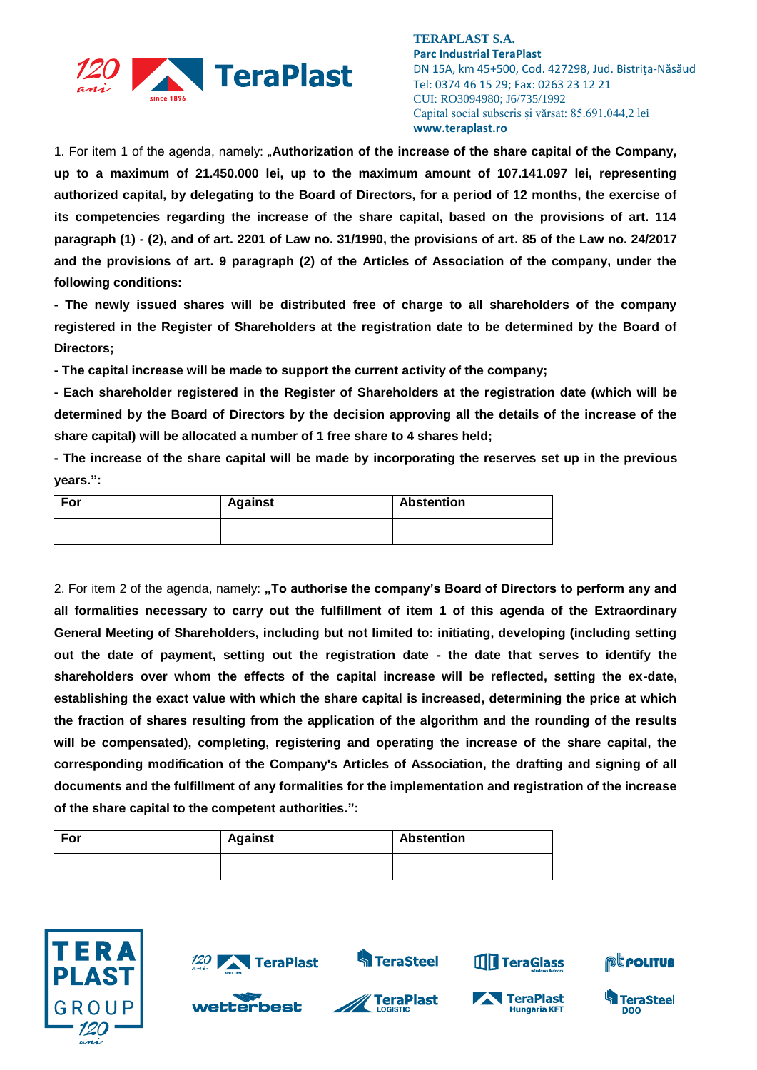

1. For item 1 of the agenda, namely: "**Authorization of the increase of the share capital of the Company, up to a maximum of 21.450.000 lei, up to the maximum amount of 107.141.097 lei, representing authorized capital, by delegating to the Board of Directors, for a period of 12 months, the exercise of its competencies regarding the increase of the share capital, based on the provisions of art. 114 paragraph (1) - (2), and of art. 2201 of Law no. 31/1990, the provisions of art. 85 of the Law no. 24/2017 and the provisions of art. 9 paragraph (2) of the Articles of Association of the company, under the following conditions:**

**- The newly issued shares will be distributed free of charge to all shareholders of the company registered in the Register of Shareholders at the registration date to be determined by the Board of Directors;**

**- The capital increase will be made to support the current activity of the company;**

**- Each shareholder registered in the Register of Shareholders at the registration date (which will be determined by the Board of Directors by the decision approving all the details of the increase of the share capital) will be allocated a number of 1 free share to 4 shares held;**

**- The increase of the share capital will be made by incorporating the reserves set up in the previous years.":**

| For | <b>Against</b> | <b>Abstention</b> |
|-----|----------------|-------------------|
|     |                |                   |

2. For item 2 of the agenda, namely: **"To authorise the company's Board of Directors to perform any and all formalities necessary to carry out the fulfillment of item 1 of this agenda of the Extraordinary General Meeting of Shareholders, including but not limited to: initiating, developing (including setting out the date of payment, setting out the registration date - the date that serves to identify the shareholders over whom the effects of the capital increase will be reflected, setting the ex-date, establishing the exact value with which the share capital is increased, determining the price at which the fraction of shares resulting from the application of the algorithm and the rounding of the results will be compensated), completing, registering and operating the increase of the share capital, the corresponding modification of the Company's Articles of Association, the drafting and signing of all documents and the fulfillment of any formalities for the implementation and registration of the increase of the share capital to the competent authorities.":**

| For | <b>Against</b> | <b>Abstention</b> |
|-----|----------------|-------------------|
|     |                |                   |





wetterbest







**TH** TeraGlass



**DOO**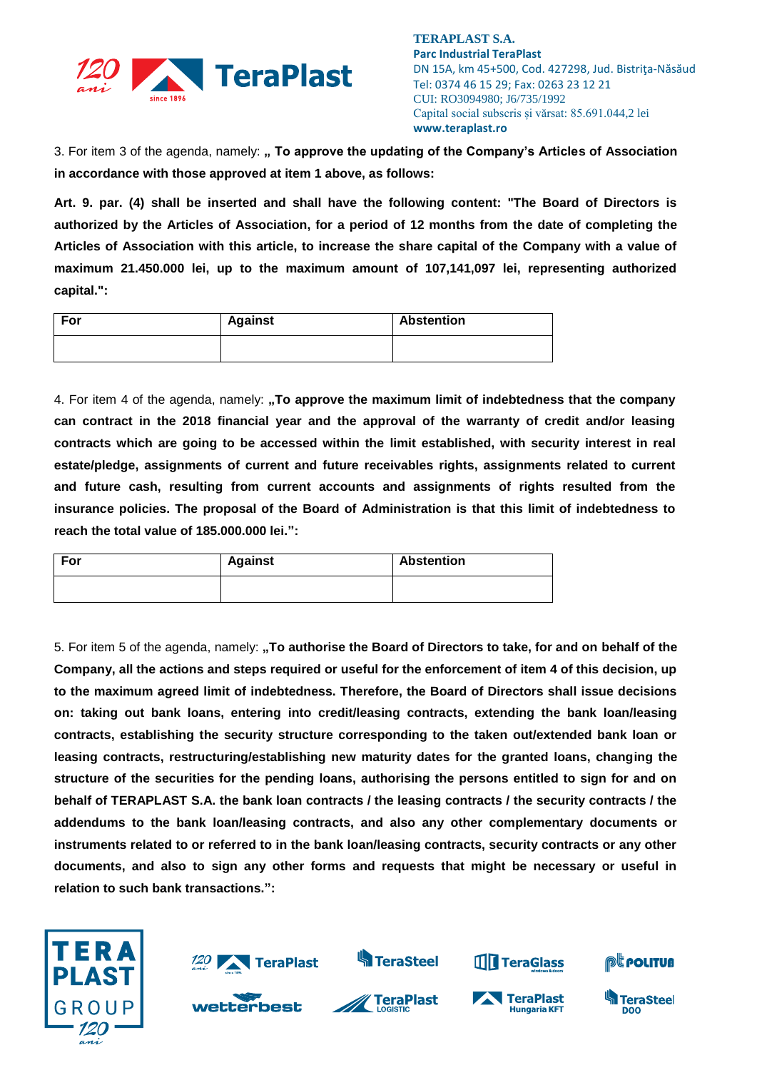

3. For item 3 of the agenda, namely: **" To approve the updating of the Company's Articles of Association in accordance with those approved at item 1 above, as follows:**

**Art. 9. par. (4) shall be inserted and shall have the following content: "The Board of Directors is authorized by the Articles of Association, for a period of 12 months from the date of completing the Articles of Association with this article, to increase the share capital of the Company with a value of maximum 21.450.000 lei, up to the maximum amount of 107,141,097 lei, representing authorized capital.":**

| For | <b>Against</b> | <b>Abstention</b> |
|-----|----------------|-------------------|
|     |                |                   |

4. For item 4 of the agenda, namely: **"To approve the maximum limit of indebtedness that the company can contract in the 2018 financial year and the approval of the warranty of credit and/or leasing contracts which are going to be accessed within the limit established, with security interest in real estate/pledge, assignments of current and future receivables rights, assignments related to current and future cash, resulting from current accounts and assignments of rights resulted from the insurance policies. The proposal of the Board of Administration is that this limit of indebtedness to reach the total value of 185.000.000 lei.":**

| For | <b>Against</b> | <b>Abstention</b> |
|-----|----------------|-------------------|
|     |                |                   |

5. For item 5 of the agenda, namely: **"To authorise the Board of Directors to take, for and on behalf of the Company, all the actions and steps required or useful for the enforcement of item 4 of this decision, up to the maximum agreed limit of indebtedness. Therefore, the Board of Directors shall issue decisions on: taking out bank loans, entering into credit/leasing contracts, extending the bank loan/leasing contracts, establishing the security structure corresponding to the taken out/extended bank loan or leasing contracts, restructuring/establishing new maturity dates for the granted loans, changing the structure of the securities for the pending loans, authorising the persons entitled to sign for and on behalf of TERAPLAST S.A. the bank loan contracts / the leasing contracts / the security contracts / the addendums to the bank loan/leasing contracts, and also any other complementary documents or instruments related to or referred to in the bank loan/leasing contracts, security contracts or any other documents, and also to sign any other forms and requests that might be necessary or useful in relation to such bank transactions.":**





**S**TeraSteel





**TH** TeraGlass



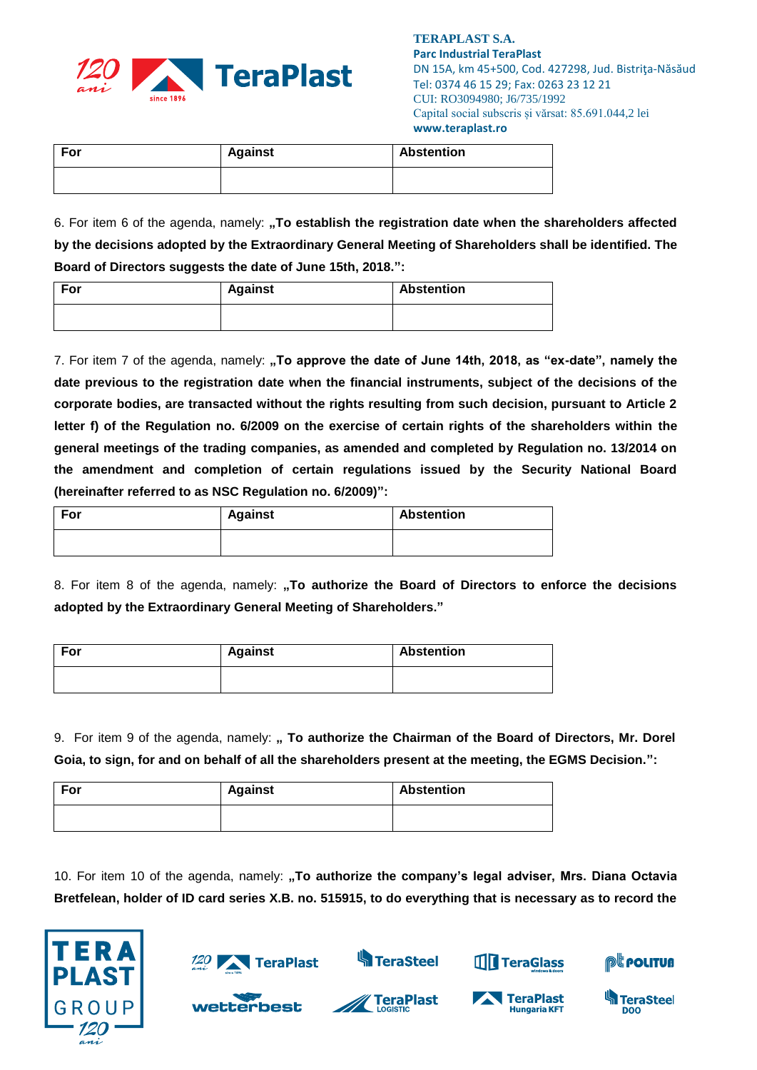

| For | <b>Against</b> | Abstention |
|-----|----------------|------------|
|     |                |            |

6. For item 6 of the agenda, namely: **"To establish the registration date when the shareholders affected by the decisions adopted by the Extraordinary General Meeting of Shareholders shall be identified. The Board of Directors suggests the date of June 15th, 2018.":** 

| For | <b>Against</b> | <b>Abstention</b> |
|-----|----------------|-------------------|
|     |                |                   |

7. For item 7 of the agenda, namely: "To approve the date of June 14th, 2018, as "ex-date", namely the **date previous to the registration date when the financial instruments, subject of the decisions of the corporate bodies, are transacted without the rights resulting from such decision, pursuant to Article 2 letter f) of the Regulation no. 6/2009 on the exercise of certain rights of the shareholders within the general meetings of the trading companies, as amended and completed by Regulation no. 13/2014 on the amendment and completion of certain regulations issued by the Security National Board (hereinafter referred to as NSC Regulation no. 6/2009)":**

| For | <b>Against</b> | Abstention |
|-----|----------------|------------|
|     |                |            |

8. For item 8 of the agenda, namely: "To authorize the Board of Directors to enforce the decisions **adopted by the Extraordinary General Meeting of Shareholders."** 

| For | <b>Against</b> | <b>Abstention</b> |
|-----|----------------|-------------------|
|     |                |                   |

9. For item 9 of the agenda, namely: **" To authorize the Chairman of the Board of Directors, Mr. Dorel Goia, to sign, for and on behalf of all the shareholders present at the meeting, the EGMS Decision.":**

| For | <b>Against</b> | <b>Abstention</b> |
|-----|----------------|-------------------|
|     |                |                   |

10. For item 10 of the agenda, namely: "To authorize the company's legal adviser, Mrs. Diana Octavia **Bretfelean, holder of ID card series X.B. no. 515915, to do everything that is necessary as to record the** 





wetterbest